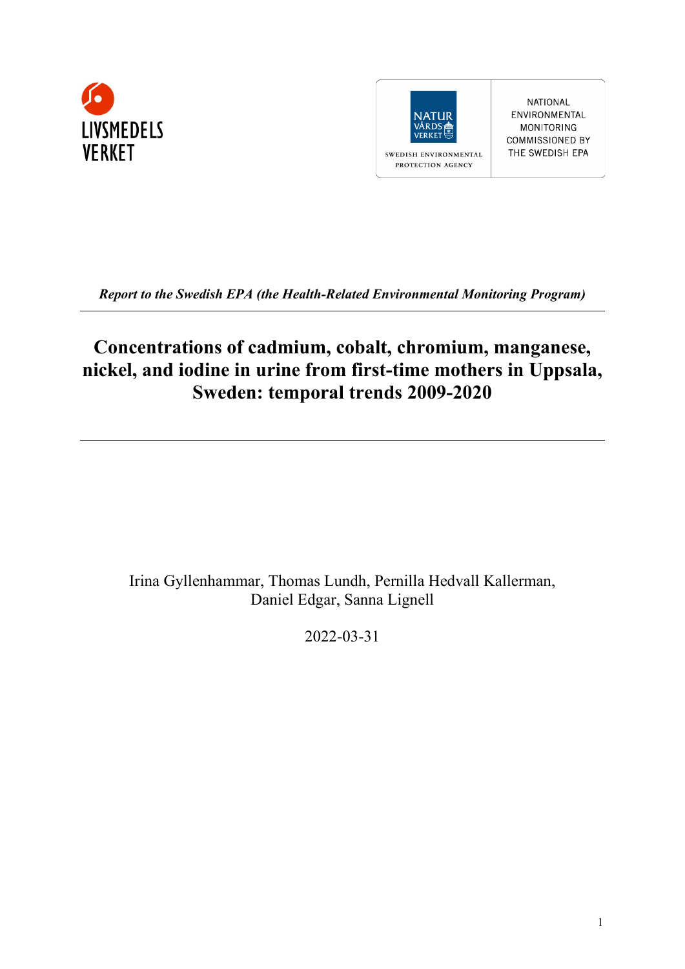



NATIONAL ENVIRONMENTAL **MONITORING COMMISSIONED BY** THE SWEDISH EPA

*Report to the Swedish EPA (the Health-Related Environmental Monitoring Program)*

## **Concentrations of cadmium, cobalt, chromium, manganese, nickel, and iodine in urine from first-time mothers in Uppsala, Sweden: temporal trends 2009-2020**

Irina Gyllenhammar, Thomas Lundh, Pernilla Hedvall Kallerman, Daniel Edgar, Sanna Lignell

2022-03-31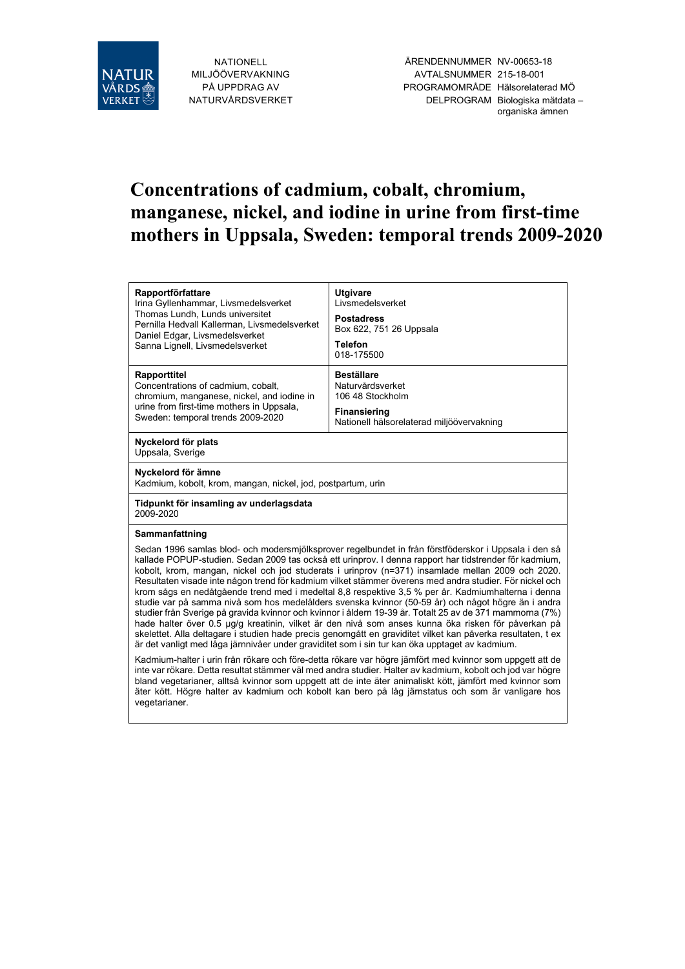

NATIONELL MILJÖÖVERVAKNING PÅ UPPDRAG AV NATURVÅRDSVERKET

ÄRENDENNUMMER NV-00653-18 AVTALSNUMMER 215-18-001 PROGRAMOMRÅDE Hälsorelaterad MÖ DELPROGRAM Biologiska mätdata – organiska ämnen

# **Concentrations of cadmium, cobalt, chromium, manganese, nickel, and iodine in urine from first-time mothers in Uppsala, Sweden: temporal trends 2009-2020**

| <b>Rapportförfattare</b><br>Irina Gyllenhammar, Livsmedelsverket<br>Thomas Lundh, Lunds universitet<br>Pernilla Hedvall Kallerman, Livsmedelsverket<br>Daniel Edgar, Livsmedelsverket<br>Sanna Lignell, Livsmedelsverket                                                                                                                                                                                                                                                                                                                                                                                                                                                                                                                                                                                                                                                                                                                                                                                                                                                      | <b>Utgivare</b><br>Livsmedelsverket<br><b>Postadress</b><br>Box 622, 751 26 Uppsala<br><b>Telefon</b><br>018-175500           |  |  |  |  |  |
|-------------------------------------------------------------------------------------------------------------------------------------------------------------------------------------------------------------------------------------------------------------------------------------------------------------------------------------------------------------------------------------------------------------------------------------------------------------------------------------------------------------------------------------------------------------------------------------------------------------------------------------------------------------------------------------------------------------------------------------------------------------------------------------------------------------------------------------------------------------------------------------------------------------------------------------------------------------------------------------------------------------------------------------------------------------------------------|-------------------------------------------------------------------------------------------------------------------------------|--|--|--|--|--|
| <b>Rapporttitel</b><br>Concentrations of cadmium, cobalt,<br>chromium, manganese, nickel, and iodine in<br>urine from first-time mothers in Uppsala,<br>Sweden: temporal trends 2009-2020                                                                                                                                                                                                                                                                                                                                                                                                                                                                                                                                                                                                                                                                                                                                                                                                                                                                                     | <b>Beställare</b><br>Naturvårdsverket<br>106 48 Stockholm<br><b>Finansiering</b><br>Nationell hälsorelaterad miljöövervakning |  |  |  |  |  |
| Nyckelord för plats<br>Uppsala, Sverige                                                                                                                                                                                                                                                                                                                                                                                                                                                                                                                                                                                                                                                                                                                                                                                                                                                                                                                                                                                                                                       |                                                                                                                               |  |  |  |  |  |
| Nyckelord för ämne<br>Kadmium, kobolt, krom, mangan, nickel, jod, postpartum, urin                                                                                                                                                                                                                                                                                                                                                                                                                                                                                                                                                                                                                                                                                                                                                                                                                                                                                                                                                                                            |                                                                                                                               |  |  |  |  |  |
| Tidpunkt för insamling av underlagsdata<br>2009-2020                                                                                                                                                                                                                                                                                                                                                                                                                                                                                                                                                                                                                                                                                                                                                                                                                                                                                                                                                                                                                          |                                                                                                                               |  |  |  |  |  |
| Sammanfattning                                                                                                                                                                                                                                                                                                                                                                                                                                                                                                                                                                                                                                                                                                                                                                                                                                                                                                                                                                                                                                                                |                                                                                                                               |  |  |  |  |  |
| Sedan 1996 samlas blod- och modersmjölksprover regelbundet in från förstföderskor i Uppsala i den så<br>kallade POPUP-studien. Sedan 2009 tas också ett urinprov. I denna rapport har tidstrender för kadmium,<br>kobolt, krom, mangan, nickel och jod studerats i urinprov (n=371) insamlade mellan 2009 och 2020.<br>Resultaten visade inte någon trend för kadmium vilket stämmer överens med andra studier. För nickel och<br>krom sågs en nedåtgående trend med i medeltal 8,8 respektive 3,5 % per år. Kadmiumhalterna i denna<br>studie var på samma nivå som hos medelålders svenska kvinnor (50-59 år) och något högre än i andra<br>studier från Sverige på gravida kvinnor och kvinnor i åldern 19-39 år. Totalt 25 av de 371 mammorna (7%)<br>hade halter över 0.5 µg/g kreatinin, vilket är den nivå som anses kunna öka risken för påverkan på<br>skelettet. Alla deltagare i studien hade precis genomgått en graviditet vilket kan påverka resultaten, t ex<br>är det vanligt med låga järnnivåer under graviditet som i sin tur kan öka upptaget av kadmium. |                                                                                                                               |  |  |  |  |  |
| Kadmium-halter i urin från rökare och före-detta rökare var högre jämfört med kvinnor som uppgett att de<br>inte var rökare. Detta resultat stämmer väl med andra studier. Halter av kadmium, kobolt och jod var högre                                                                                                                                                                                                                                                                                                                                                                                                                                                                                                                                                                                                                                                                                                                                                                                                                                                        |                                                                                                                               |  |  |  |  |  |

inte var rökare. Detta resultat stämmer väl med andra studier. Halter av kadmium, kobolt och jod var högre bland vegetarianer, alltså kvinnor som uppgett att de inte äter animaliskt kött, jämfört med kvinnor som äter kött. Högre halter av kadmium och kobolt kan bero på låg järnstatus och som är vanligare hos vegetarianer.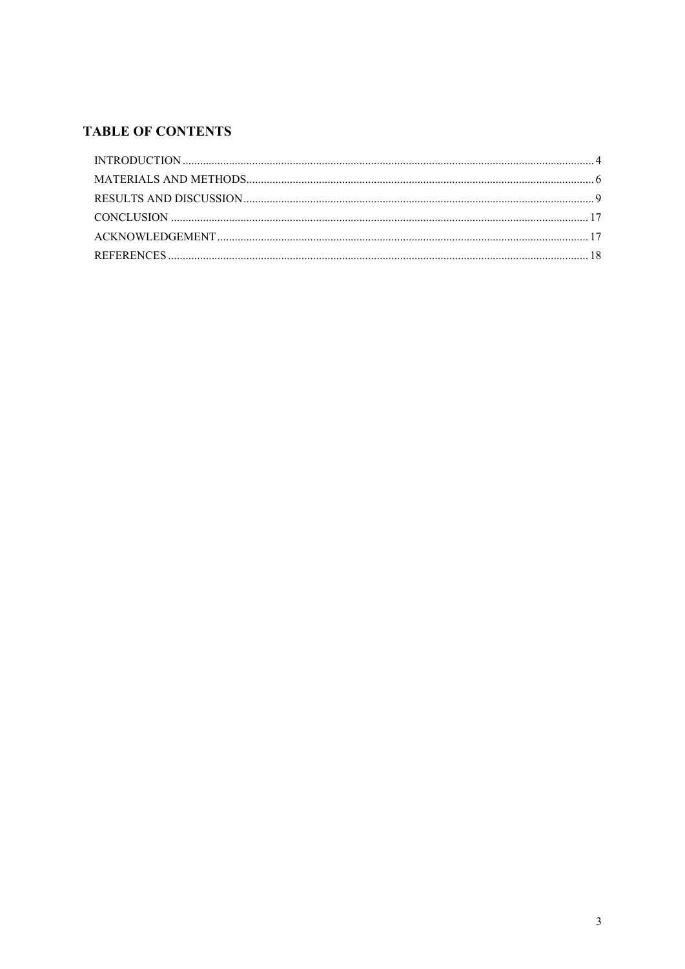### **TABLE OF CONTENTS**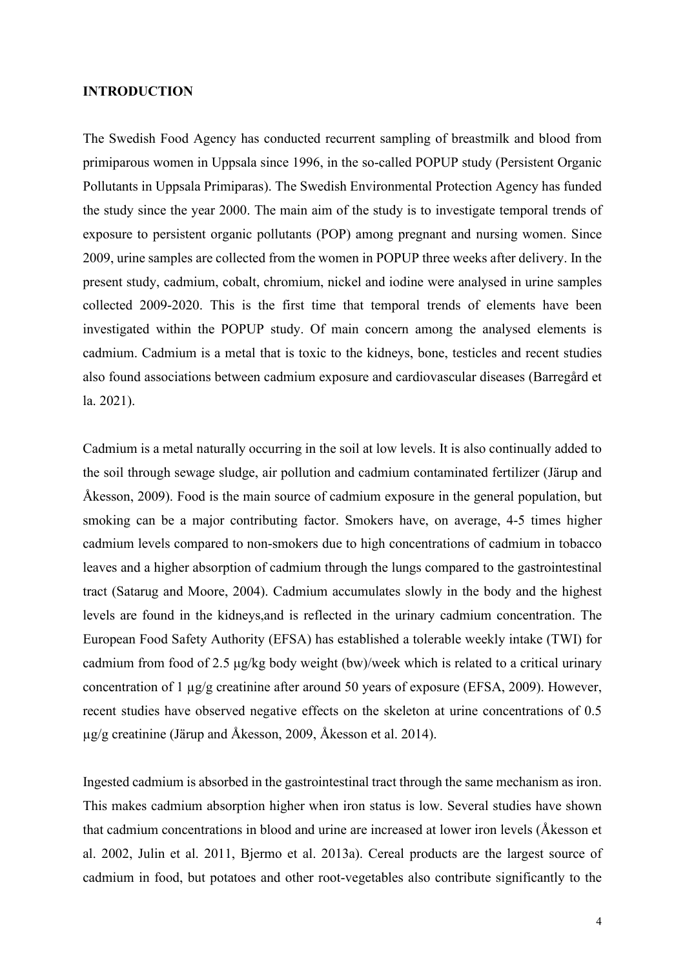#### <span id="page-3-0"></span>**INTRODUCTION**

The Swedish Food Agency has conducted recurrent sampling of breastmilk and blood from primiparous women in Uppsala since 1996, in the so-called POPUP study (Persistent Organic Pollutants in Uppsala Primiparas). The Swedish Environmental Protection Agency has funded the study since the year 2000. The main aim of the study is to investigate temporal trends of exposure to persistent organic pollutants (POP) among pregnant and nursing women. Since 2009, urine samples are collected from the women in POPUP three weeks after delivery. In the present study, cadmium, cobalt, chromium, nickel and iodine were analysed in urine samples collected 2009-2020. This is the first time that temporal trends of elements have been investigated within the POPUP study. Of main concern among the analysed elements is cadmium. Cadmium is a metal that is toxic to the kidneys, bone, testicles and recent studies also found associations between cadmium exposure and cardiovascular diseases (Barregård et la. 2021).

Cadmium is a metal naturally occurring in the soil at low levels. It is also continually added to the soil through sewage sludge, air pollution and cadmium contaminated fertilizer (Järup and Åkesson, 2009). Food is the main source of cadmium exposure in the general population, but smoking can be a major contributing factor. Smokers have, on average, 4-5 times higher cadmium levels compared to non-smokers due to high concentrations of cadmium in tobacco leaves and a higher absorption of cadmium through the lungs compared to the gastrointestinal tract (Satarug and Moore, 2004). Cadmium accumulates slowly in the body and the highest levels are found in the kidneys,and is reflected in the urinary cadmium concentration. The European Food Safety Authority (EFSA) has established a tolerable weekly intake (TWI) for cadmium from food of 2.5 μg/kg body weight (bw)/week which is related to a critical urinary concentration of 1 µg/g creatinine after around 50 years of exposure (EFSA, 2009). However, recent studies have observed negative effects on the skeleton at urine concentrations of 0.5 µg/g creatinine (Järup and Åkesson, 2009, Åkesson et al. 2014).

Ingested cadmium is absorbed in the gastrointestinal tract through the same mechanism as iron. This makes cadmium absorption higher when iron status is low. Several studies have shown that cadmium concentrations in blood and urine are increased at lower iron levels (Åkesson et al. 2002, Julin et al. 2011, Bjermo et al. 2013a). Cereal products are the largest source of cadmium in food, but potatoes and other root-vegetables also contribute significantly to the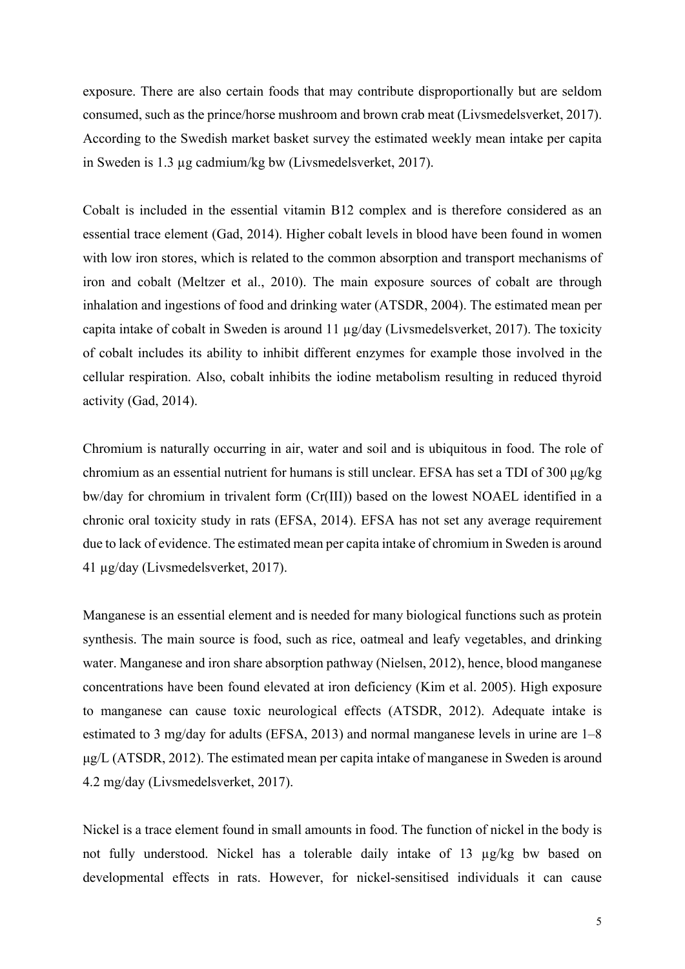exposure. There are also certain foods that may contribute disproportionally but are seldom consumed, such as the prince/horse mushroom and brown crab meat (Livsmedelsverket, 2017). According to the Swedish market basket survey the estimated weekly mean intake per capita in Sweden is 1.3 µg cadmium/kg bw (Livsmedelsverket, 2017).

Cobalt is included in the essential vitamin B12 complex and is therefore considered as an essential trace element (Gad, 2014). Higher cobalt levels in blood have been found in women with low iron stores, which is related to the common absorption and transport mechanisms of iron and cobalt (Meltzer et al., 2010). The main exposure sources of cobalt are through inhalation and ingestions of food and drinking water (ATSDR, 2004). The estimated mean per capita intake of cobalt in Sweden is around 11 µg/day (Livsmedelsverket, 2017). The toxicity of cobalt includes its ability to inhibit different enzymes for example those involved in the cellular respiration. Also, cobalt inhibits the iodine metabolism resulting in reduced thyroid activity (Gad, 2014).

Chromium is naturally occurring in air, water and soil and is ubiquitous in food. The role of chromium as an essential nutrient for humans is still unclear. EFSA has set a TDI of 300 μg/kg bw/day for chromium in trivalent form (Cr(III)) based on the lowest NOAEL identified in a chronic oral toxicity study in rats (EFSA, 2014). EFSA has not set any average requirement due to lack of evidence. The estimated mean per capita intake of chromium in Sweden is around 41 µg/day (Livsmedelsverket, 2017).

Manganese is an essential element and is needed for many biological functions such as protein synthesis. The main source is food, such as rice, oatmeal and leafy vegetables, and drinking water. Manganese and iron share absorption pathway (Nielsen, 2012), hence, blood manganese concentrations have been found elevated at iron deficiency (Kim et al. 2005). High exposure to manganese can cause toxic neurological effects (ATSDR, 2012). Adequate intake is estimated to 3 mg/day for adults (EFSA, 2013) and normal manganese levels in urine are 1–8 μg/L (ATSDR, 2012). The estimated mean per capita intake of manganese in Sweden is around 4.2 mg/day (Livsmedelsverket, 2017).

Nickel is a trace element found in small amounts in food. The function of nickel in the body is not fully understood. Nickel has a tolerable daily intake of 13 µg/kg bw based on developmental effects in rats. However, for nickel-sensitised individuals it can cause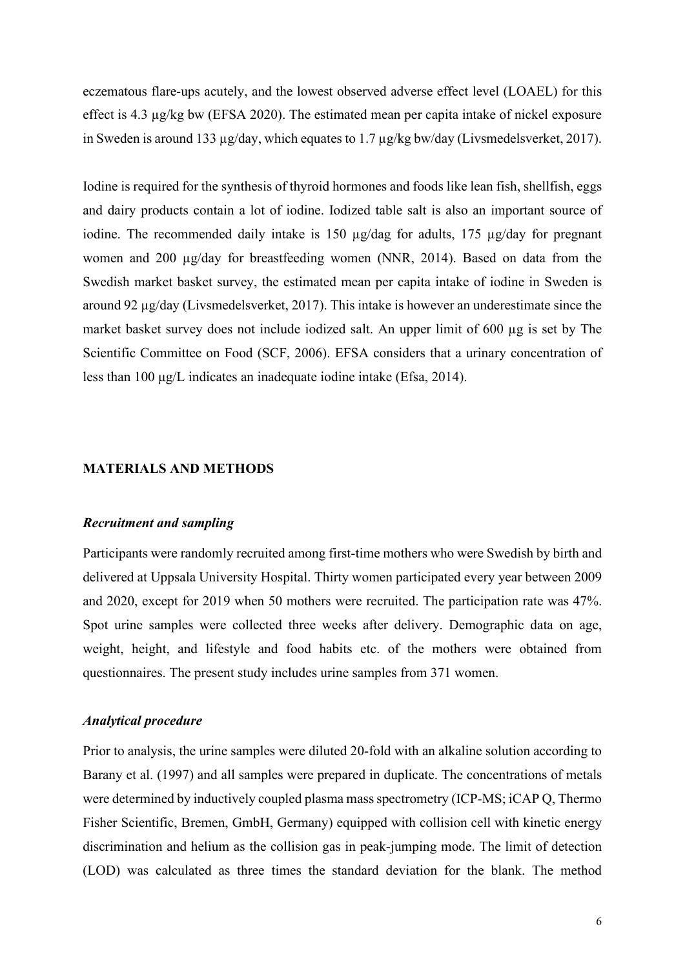eczematous flare-ups acutely, and the lowest observed adverse effect level (LOAEL) for this effect is 4.3 µg/kg bw (EFSA 2020). The estimated mean per capita intake of nickel exposure in Sweden is around 133 µg/day, which equates to 1.7 µg/kg bw/day (Livsmedelsverket, 2017).

Iodine is required for the synthesis of thyroid hormones and foods like lean fish, shellfish, eggs and dairy products contain a lot of iodine. Iodized table salt is also an important source of iodine. The recommended daily intake is 150 µg/dag for adults, 175 µg/day for pregnant women and 200  $\mu$ g/day for breastfeeding women (NNR, 2014). Based on data from the Swedish market basket survey, the estimated mean per capita intake of iodine in Sweden is around 92 µg/day (Livsmedelsverket, 2017). This intake is however an underestimate since the market basket survey does not include iodized salt. An upper limit of 600 µg is set by The Scientific Committee on Food (SCF, 2006). EFSA considers that a urinary concentration of less than 100 μg/L indicates an inadequate iodine intake (Efsa, 2014).

#### <span id="page-5-0"></span>**MATERIALS AND METHODS**

#### *Recruitment and sampling*

Participants were randomly recruited among first-time mothers who were Swedish by birth and delivered at Uppsala University Hospital. Thirty women participated every year between 2009 and 2020, except for 2019 when 50 mothers were recruited. The participation rate was 47%. Spot urine samples were collected three weeks after delivery. Demographic data on age, weight, height, and lifestyle and food habits etc. of the mothers were obtained from questionnaires. The present study includes urine samples from 371 women.

#### *Analytical procedure*

Prior to analysis, the urine samples were diluted 20-fold with an alkaline solution according to Barany et al. (1997) and all samples were prepared in duplicate. The concentrations of metals were determined by inductively coupled plasma mass spectrometry (ICP-MS; iCAP Q, Thermo Fisher Scientific, Bremen, GmbH, Germany) equipped with collision cell with kinetic energy discrimination and helium as the collision gas in peak-jumping mode. The limit of detection (LOD) was calculated as three times the standard deviation for the blank. The method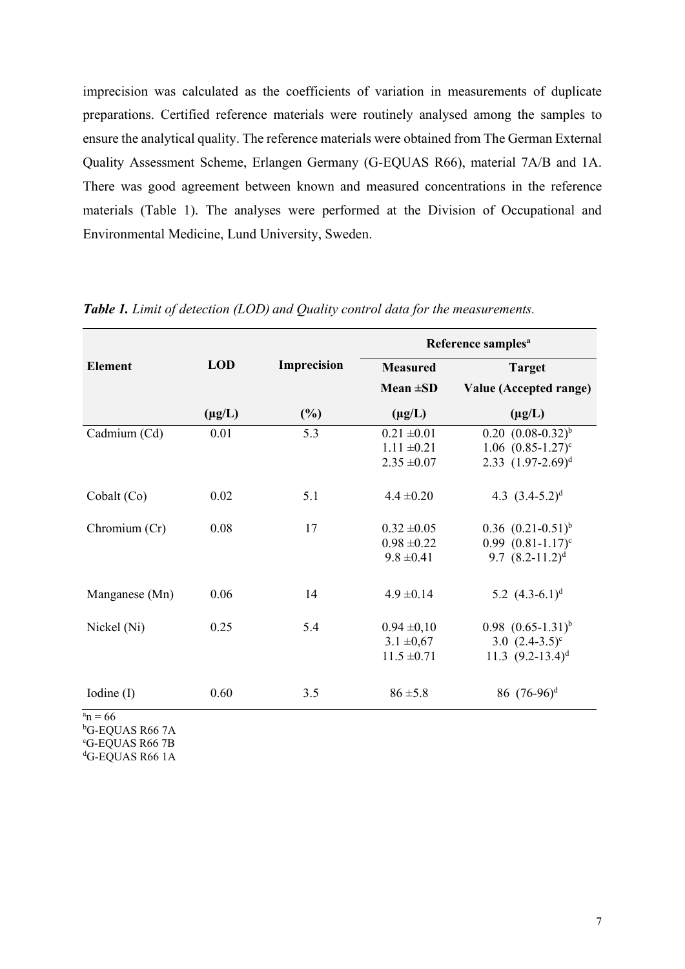imprecision was calculated as the coefficients of variation in measurements of duplicate preparations. Certified reference materials were routinely analysed among the samples to ensure the analytical quality. The reference materials were obtained from The German External Quality Assessment Scheme, Erlangen Germany (G-EQUAS R66), material 7A/B and 1A. There was good agreement between known and measured concentrations in the reference materials (Table 1). The analyses were performed at the Division of Occupational and Environmental Medicine, Lund University, Sweden.

|                |             |             | Reference samples <sup>a</sup> |                          |  |  |
|----------------|-------------|-------------|--------------------------------|--------------------------|--|--|
| <b>Element</b> | <b>LOD</b>  | Imprecision | <b>Measured</b>                | <b>Target</b>            |  |  |
|                |             |             | Mean $\pm SD$                  | Value (Accepted range)   |  |  |
|                | $(\mu g/L)$ | $(\%)$      | $(\mu g/L)$                    | $(\mu g/L)$              |  |  |
| Cadmium (Cd)   | 0.01        | 5.3         | $0.21 \pm 0.01$                | $0.20 (0.08-0.32)^{b}$   |  |  |
|                |             |             | $1.11 \pm 0.21$                | 1.06 $(0.85-1.27)^c$     |  |  |
|                |             |             | $2.35 \pm 0.07$                | 2.33 $(1.97-2.69)^d$     |  |  |
| Cobalt (Co)    | 0.02        | 5.1         | $4.4 \pm 0.20$                 | 4.3 $(3.4-5.2)^d$        |  |  |
| Chromium (Cr)  | 0.08        | 17          | $0.32 \pm 0.05$                | $0.36$ $(0.21-0.51)^{b}$ |  |  |
|                |             |             | $0.98 \pm 0.22$                | $0.99$ $(0.81 - 1.17)^c$ |  |  |
|                |             |             | $9.8 \pm 0.41$                 | 9.7 $(8.2-11.2)^d$       |  |  |
| Manganese (Mn) | 0.06        | 14          | $4.9 \pm 0.14$                 | 5.2 $(4.3-6.1)^d$        |  |  |
| Nickel (Ni)    | 0.25        | 5.4         | $0.94 \pm 0.10$                | $0.98$ $(0.65-1.31)^{b}$ |  |  |
|                |             |             | $3.1 \pm 0.67$                 | 3.0 $(2.4-3.5)^c$        |  |  |
|                |             |             | $11.5 \pm 0.71$                | 11.3 $(9.2-13.4)^d$      |  |  |
| Iodine $(I)$   | 0.60        | 3.5         | $86 \pm 5.8$                   | 86 $(76-96)^d$           |  |  |
| $a_n = 66$     |             |             |                                |                          |  |  |

*Table 1. Limit of detection (LOD) and Quality control data for the measurements.*

b G-EQUAS R66 7A

c G-EQUAS R66 7B

d G-EQUAS R66 1A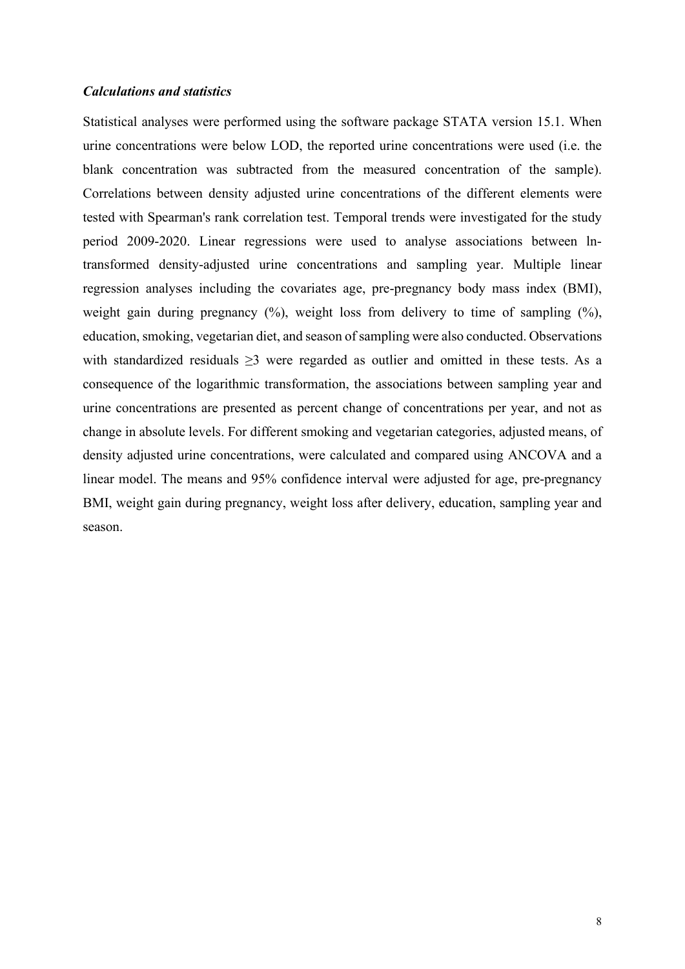#### *Calculations and statistics*

Statistical analyses were performed using the software package STATA version 15.1. When urine concentrations were below LOD, the reported urine concentrations were used (i.e. the blank concentration was subtracted from the measured concentration of the sample). Correlations between density adjusted urine concentrations of the different elements were tested with Spearman's rank correlation test. Temporal trends were investigated for the study period 2009-2020. Linear regressions were used to analyse associations between lntransformed density-adjusted urine concentrations and sampling year. Multiple linear regression analyses including the covariates age, pre-pregnancy body mass index (BMI), weight gain during pregnancy  $(\%)$ , weight loss from delivery to time of sampling  $(\%)$ , education, smoking, vegetarian diet, and season of sampling were also conducted. Observations with standardized residuals  $\geq$ 3 were regarded as outlier and omitted in these tests. As a consequence of the logarithmic transformation, the associations between sampling year and urine concentrations are presented as percent change of concentrations per year, and not as change in absolute levels. For different smoking and vegetarian categories, adjusted means, of density adjusted urine concentrations, were calculated and compared using ANCOVA and a linear model. The means and 95% confidence interval were adjusted for age, pre-pregnancy BMI, weight gain during pregnancy, weight loss after delivery, education, sampling year and season.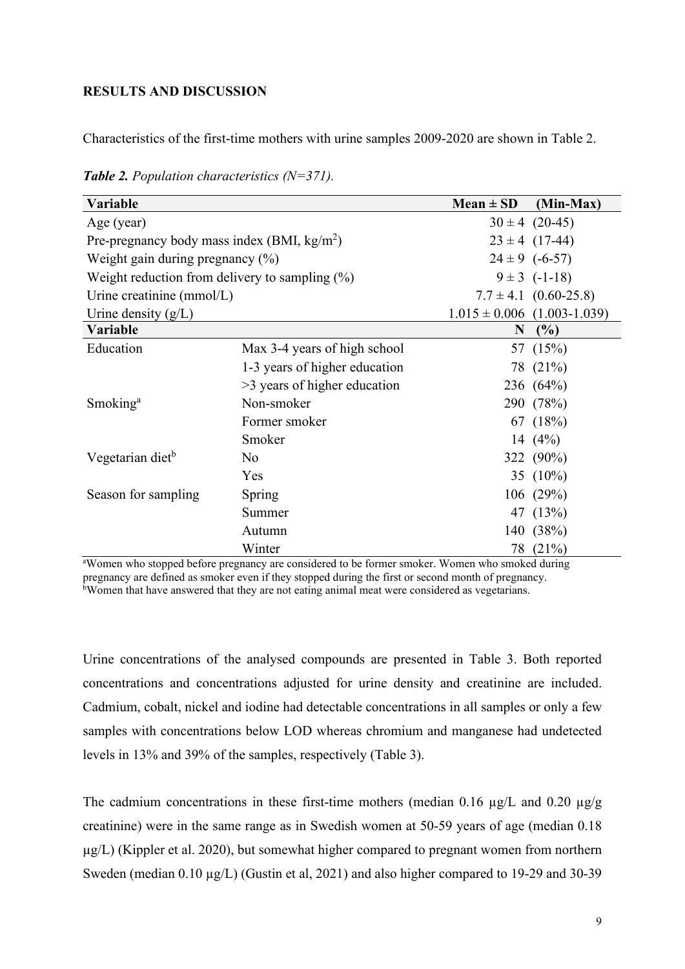#### <span id="page-8-0"></span>**RESULTS AND DISCUSSION**

Characteristics of the first-time mothers with urine samples 2009-2020 are shown in [Table 2.](#page-8-1)

| Variable                                              |                               | $Mean \pm SD$      | (Min-Max)                       |
|-------------------------------------------------------|-------------------------------|--------------------|---------------------------------|
| Age (year)                                            |                               | $30 \pm 4$ (20-45) |                                 |
| Pre-pregnancy body mass index (BMI, $\text{kg/m}^2$ ) |                               |                    | $23 \pm 4$ (17-44)              |
| Weight gain during pregnancy $(\%)$                   |                               |                    | $24 \pm 9$ (-6-57)              |
| Weight reduction from delivery to sampling $(\%)$     |                               |                    | $9 \pm 3$ (-1-18)               |
| Urine creatinine (mmol/L)                             |                               |                    | $7.7 \pm 4.1$ (0.60-25.8)       |
| Urine density $(g/L)$                                 |                               |                    | $1.015 \pm 0.006$ (1.003-1.039) |
| Variable                                              |                               | N                  | (%)                             |
| Education                                             | Max 3-4 years of high school  |                    | 57 (15%)                        |
|                                                       | 1-3 years of higher education |                    | 78 (21%)                        |
|                                                       | >3 years of higher education  |                    | 236 (64%)                       |
| Smoking <sup>a</sup>                                  | Non-smoker                    |                    | 290 (78%)                       |
|                                                       | Former smoker                 |                    | 67 (18%)                        |
|                                                       | Smoker                        |                    | 14 $(4\%)$                      |
| Vegetarian diet <sup>b</sup>                          | No                            |                    | 322 (90%)                       |
|                                                       | Yes                           |                    | 35 $(10\%)$                     |
| Season for sampling                                   | Spring                        |                    | 106(29%)                        |
|                                                       | Summer                        |                    | 47 (13%)                        |
|                                                       | Autumn                        |                    | 140 (38%)                       |
|                                                       | Winter                        |                    | 78 (21%)                        |

<span id="page-8-1"></span>*Table 2. Population characteristics (N=371).* 

Winter 78 (21%)<br>
<sup>a</sup>Women who stopped before pregnancy are considered to be former smoker. Women who smoked during pregnancy are defined as smoker even if they stopped during the first or second month of pregnancy. b Women that have answered that they are not eating animal meat were considered as vegetarians.

Urine concentrations of the analysed compounds are presented in [Table 3.](#page-10-0) Both reported concentrations and concentrations adjusted for urine density and creatinine are included. Cadmium, cobalt, nickel and iodine had detectable concentrations in all samples or only a few samples with concentrations below LOD whereas chromium and manganese had undetected levels in 13% and 39% of the samples, respectively (Table 3).

The cadmium concentrations in these first-time mothers (median 0.16  $\mu$ g/L and 0.20  $\mu$ g/g creatinine) were in the same range as in Swedish women at 50-59 years of age (median 0.18  $\mu$ g/L) (Kippler et al. 2020), but somewhat higher compared to pregnant women from northern Sweden (median 0.10 µg/L) (Gustin et al, 2021) and also higher compared to 19-29 and 30-39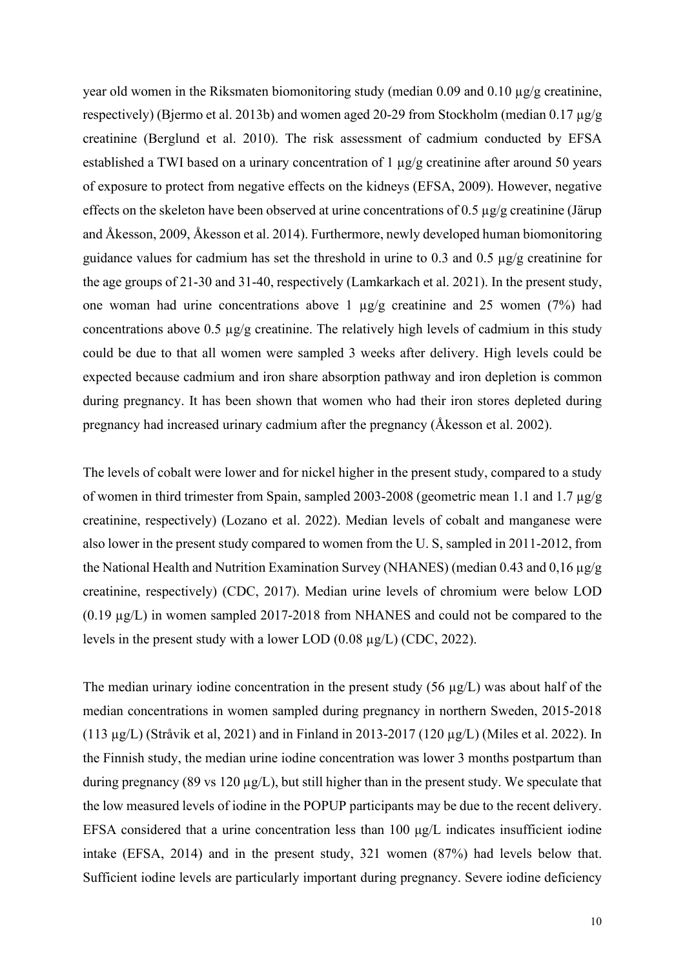year old women in the Riksmaten biomonitoring study (median 0.09 and 0.10  $\mu$ g/g creatinine, respectively) (Bjermo et al. 2013b) and women aged 20-29 from Stockholm (median 0.17 µg/g creatinine (Berglund et al. 2010). The risk assessment of cadmium conducted by EFSA established a TWI based on a urinary concentration of 1 µg/g creatinine after around 50 years of exposure to protect from negative effects on the kidneys (EFSA, 2009). However, negative effects on the skeleton have been observed at urine concentrations of 0.5  $\mu$ g/g creatinine (Järup and Åkesson, 2009, Åkesson et al. 2014). Furthermore, newly developed human biomonitoring guidance values for cadmium has set the threshold in urine to 0.3 and 0.5  $\mu$ g/g creatinine for the age groups of 21-30 and 31-40, respectively (Lamkarkach et al. 2021). In the present study, one woman had urine concentrations above 1 µg/g creatinine and 25 women (7%) had concentrations above 0.5  $\mu$ g/g creatinine. The relatively high levels of cadmium in this study could be due to that all women were sampled 3 weeks after delivery. High levels could be expected because cadmium and iron share absorption pathway and iron depletion is common during pregnancy. It has been shown that women who had their iron stores depleted during pregnancy had increased urinary cadmium after the pregnancy (Åkesson et al. 2002).

The levels of cobalt were lower and for nickel higher in the present study, compared to a study of women in third trimester from Spain, sampled 2003-2008 (geometric mean 1.1 and 1.7 µg/g creatinine, respectively) (Lozano et al. 2022). Median levels of cobalt and manganese were also lower in the present study compared to women from the U. S, sampled in 2011-2012, from the National Health and Nutrition Examination Survey (NHANES) (median 0.43 and 0.16  $\mu$ g/g creatinine, respectively) (CDC, 2017). Median urine levels of chromium were below LOD (0.19 µg/L) in women sampled 2017-2018 from NHANES and could not be compared to the levels in the present study with a lower LOD (0.08 µg/L) (CDC, 2022).

The median urinary iodine concentration in the present study  $(56 \mu g/L)$  was about half of the median concentrations in women sampled during pregnancy in northern Sweden, 2015-2018 (113 µg/L) (Stråvik et al, 2021) and in Finland in 2013-2017 (120 µg/L) (Miles et al. 2022). In the Finnish study, the median urine iodine concentration was lower 3 months postpartum than during pregnancy (89 vs 120  $\mu$ g/L), but still higher than in the present study. We speculate that the low measured levels of iodine in the POPUP participants may be due to the recent delivery. EFSA considered that a urine concentration less than 100 μg/L indicates insufficient iodine intake (EFSA, 2014) and in the present study, 321 women (87%) had levels below that. Sufficient iodine levels are particularly important during pregnancy. Severe iodine deficiency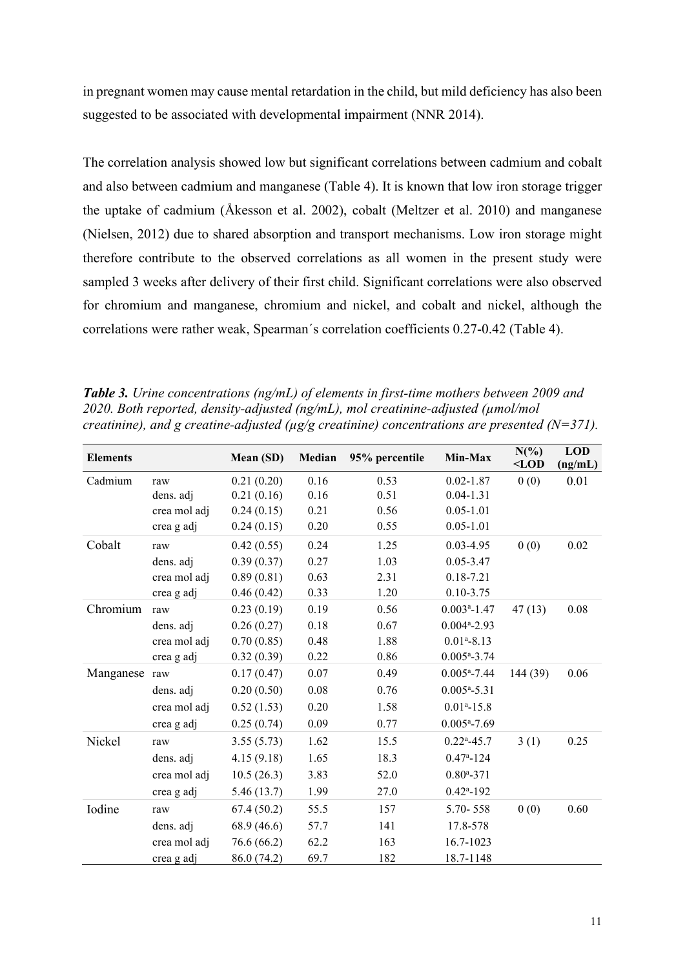in pregnant women may cause mental retardation in the child, but mild deficiency has also been suggested to be associated with developmental impairment (NNR 2014).

The correlation analysis showed low but significant correlations between cadmium and cobalt and also between cadmium and manganese (Table 4). It is known that low iron storage trigger the uptake of cadmium (Åkesson et al. 2002), cobalt (Meltzer et al. 2010) and manganese (Nielsen, 2012) due to shared absorption and transport mechanisms. Low iron storage might therefore contribute to the observed correlations as all women in the present study were sampled 3 weeks after delivery of their first child. Significant correlations were also observed for chromium and manganese, chromium and nickel, and cobalt and nickel, although the correlations were rather weak, Spearman´s correlation coefficients 0.27-0.42 (Table 4).

<span id="page-10-0"></span>*Table 3. Urine concentrations (ng/mL) of elements in first-time mothers between 2009 and 2020. Both reported, density-adjusted (ng/mL), mol creatinine-adjusted (µmol/mol creatinine), and g creatine-adjusted (µg/g creatinine) concentrations are presented (N=371).*

| <b>Elements</b> |              | Mean (SD)   | Median   | 95% percentile | Min-Max                     |          | <b>LOD</b><br>(ng/mL) |
|-----------------|--------------|-------------|----------|----------------|-----------------------------|----------|-----------------------|
| Cadmium         | raw          | 0.21(0.20)  | 0.16     | 0.53           | $0.02 - 1.87$               | 0(0)     | 0.01                  |
|                 | dens. adj    | 0.21(0.16)  | 0.16     | 0.51           | $0.04 - 1.31$               |          |                       |
|                 | crea mol adj | 0.24(0.15)  | 0.21     | 0.56           | $0.05 - 1.01$               |          |                       |
|                 | crea g adj   | 0.24(0.15)  | $0.20\,$ | 0.55           | $0.05 - 1.01$               |          |                       |
| Cobalt          | raw          | 0.42(0.55)  | 0.24     | 1.25           | $0.03 - 4.95$               | 0(0)     | 0.02                  |
|                 | dens. adj    | 0.39(0.37)  | 0.27     | 1.03           | $0.05 - 3.47$               |          |                       |
|                 | crea mol adj | 0.89(0.81)  | 0.63     | 2.31           | $0.18 - 7.21$               |          |                       |
|                 | crea g adj   | 0.46(0.42)  | 0.33     | 1.20           | $0.10 - 3.75$               |          |                       |
| Chromium        | raw          | 0.23(0.19)  | 0.19     | 0.56           | $0.003a - 1.47$             | 47(13)   | 0.08                  |
|                 | dens. adj    | 0.26(0.27)  | 0.18     | 0.67           | $0.004$ <sup>a</sup> -2.93  |          |                       |
|                 | crea mol adj | 0.70(0.85)  | 0.48     | 1.88           | $0.01a-8.13$                |          |                       |
|                 | crea g adj   | 0.32(0.39)  | 0.22     | 0.86           | $0.005^{\mathrm{a}} - 3.74$ |          |                       |
| Manganese       | raw          | 0.17(0.47)  | 0.07     | 0.49           | $0.005^{\mathrm{a}}$ -7.44  | 144 (39) | 0.06                  |
|                 | dens. adj    | 0.20(0.50)  | 0.08     | 0.76           | $0.005^{\mathrm{a}}$ -5.31  |          |                       |
|                 | crea mol adj | 0.52(1.53)  | 0.20     | 1.58           | $0.01a - 15.8$              |          |                       |
|                 | crea g adj   | 0.25(0.74)  | 0.09     | 0.77           | $0.005^{\mathrm{a}}$ -7.69  |          |                       |
| Nickel          | raw          | 3.55(5.73)  | 1.62     | 15.5           | $0.22^{\mathrm{a}} - 45.7$  | 3(1)     | 0.25                  |
|                 | dens. adj    | 4.15(9.18)  | 1.65     | 18.3           | $0.47^{\mathrm{a}} - 124$   |          |                       |
|                 | crea mol adj | 10.5(26.3)  | 3.83     | 52.0           | $0.80^{\mathrm{a}} - 371$   |          |                       |
|                 | crea g adj   | 5.46(13.7)  | 1.99     | 27.0           | $0.42^{\mathrm{a}} - 192$   |          |                       |
| Iodine          | raw          | 67.4(50.2)  | 55.5     | 157            | 5.70-558                    | 0(0)     | 0.60                  |
|                 | dens. adj    | 68.9 (46.6) | 57.7     | 141            | 17.8-578                    |          |                       |
|                 | crea mol adj | 76.6 (66.2) | 62.2     | 163            | 16.7-1023                   |          |                       |
|                 | crea g adj   | 86.0 (74.2) | 69.7     | 182            | 18.7-1148                   |          |                       |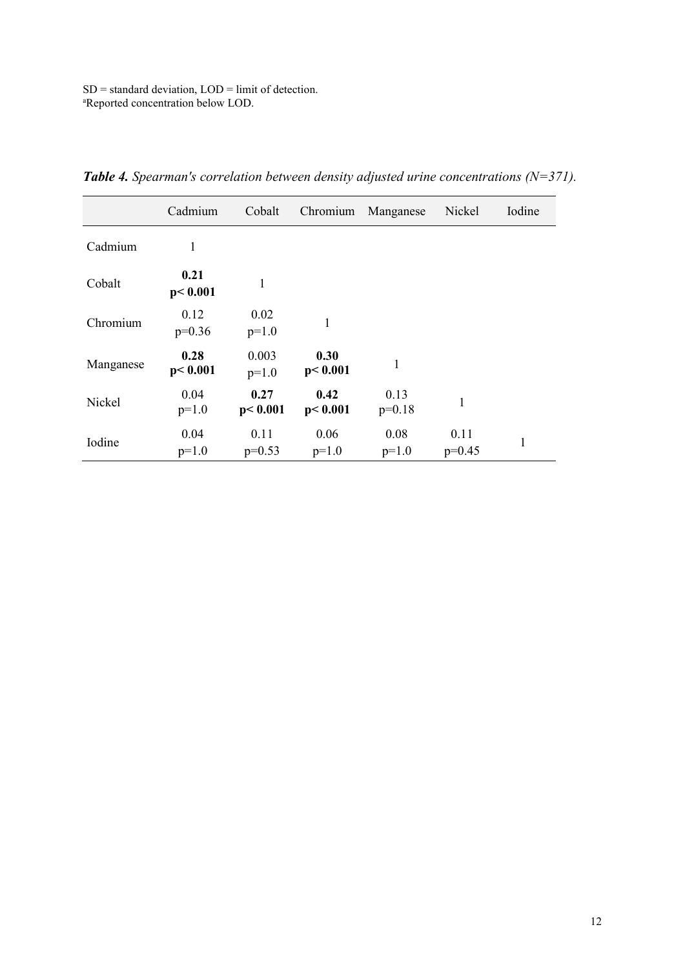SD = standard deviation, LOD = limit of detection. a Reported concentration below LOD.

|           | Cadmium           | Cobalt            | Chromium          | Manganese        | Nickel           | Iodine       |
|-----------|-------------------|-------------------|-------------------|------------------|------------------|--------------|
| Cadmium   | 1                 |                   |                   |                  |                  |              |
| Cobalt    | 0.21<br>p < 0.001 | 1                 |                   |                  |                  |              |
| Chromium  | 0.12<br>$p=0.36$  | 0.02<br>$p=1.0$   | 1                 |                  |                  |              |
| Manganese | 0.28<br>p < 0.001 | 0.003<br>$p=1.0$  | 0.30<br>p < 0.001 | 1                |                  |              |
| Nickel    | 0.04<br>$p=1.0$   | 0.27<br>p < 0.001 | 0.42<br>p < 0.001 | 0.13<br>$p=0.18$ | 1                |              |
| Iodine    | 0.04<br>$p=1.0$   | 0.11<br>$p=0.53$  | 0.06<br>$p=1.0$   | 0.08<br>$p=1.0$  | 0.11<br>$p=0.45$ | $\mathbf{1}$ |

*Table 4. Spearman's correlation between density adjusted urine concentrations (N=371).*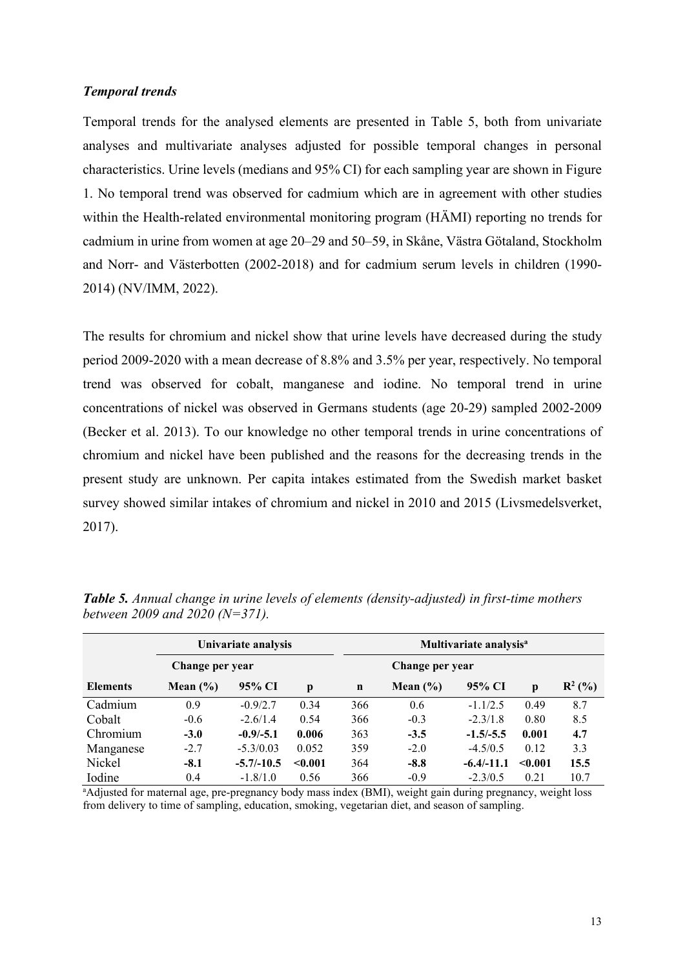#### *Temporal trends*

Temporal trends for the analysed elements are presented in [Table 5](#page-12-0), both from univariate analyses and multivariate analyses adjusted for possible temporal changes in personal characteristics. Urine levels (medians and 95% CI) for each sampling year are shown in Figure 1. No temporal trend was observed for cadmium which are in agreement with other studies within the Health-related environmental monitoring program (HÄMI) reporting no trends for cadmium in urine from women at age 20–29 and 50–59, in Skåne, Västra Götaland, Stockholm and Norr- and Västerbotten (2002-2018) and for cadmium serum levels in children (1990- 2014) (NV/IMM, 2022).

<span id="page-12-0"></span>The results for chromium and nickel show that urine levels have decreased during the study period 2009-2020 with a mean decrease of 8.8% and 3.5% per year, respectively. No temporal trend was observed for cobalt, manganese and iodine. No temporal trend in urine concentrations of nickel was observed in Germans students (age 20-29) sampled 2002-2009 (Becker et al. 2013). To our knowledge no other temporal trends in urine concentrations of chromium and nickel have been published and the reasons for the decreasing trends in the present study are unknown. Per capita intakes estimated from the Swedish market basket survey showed similar intakes of chromium and nickel in 2010 and 2015 (Livsmedelsverket, 2017).

| Univariate analysis |              |               | Multivariate analysis <sup>a</sup> |             |               |              |         |           |
|---------------------|--------------|---------------|------------------------------------|-------------|---------------|--------------|---------|-----------|
| Change per year     |              |               | Change per year                    |             |               |              |         |           |
| <b>Elements</b>     | Mean $(\% )$ | 95% CI        | p                                  | $\mathbf n$ | Mean $(\% )$  | 95% CI       | p       | $R^2$ (%) |
| Cadmium             | 0.9          | $-0.9/2.7$    | 0.34                               | 366         | $0.6^{\circ}$ | $-1.1/2.5$   | 0.49    | 8.7       |
| Cobalt              | $-0.6$       | $-2.6/1.4$    | 0.54                               | 366         | $-0.3$        | $-2.3/1.8$   | 0.80    | 8.5       |
| Chromium            | $-3.0$       | $-0.9/-5.1$   | 0.006                              | 363         | $-3.5$        | $-1.5/-5.5$  | 0.001   | 4.7       |
| Manganese           | $-2.7$       | $-5.3/0.03$   | 0.052                              | 359         | $-2.0$        | $-4.5/0.5$   | 0.12    | 3.3       |
| Nickel              | $-8.1$       | $-5.7/ -10.5$ | < 0.001                            | 364         | $-8.8$        | $-6.4/-11.1$ | < 0.001 | 15.5      |
| Iodine              | 0.4          | $-1.8/1.0$    | 0.56                               | 366         | $-0.9$        | $-2.3/0.5$   | 0.21    | 10.7      |

*Table 5. Annual change in urine levels of elements (density-adjusted) in first-time mothers between 2009 and 2020 (N=371).* 

<sup>a</sup>Adjusted for maternal age, pre-pregnancy body mass index (BMI), weight gain during pregnancy, weight loss from delivery to time of sampling, education, smoking, vegetarian diet, and season of sampling.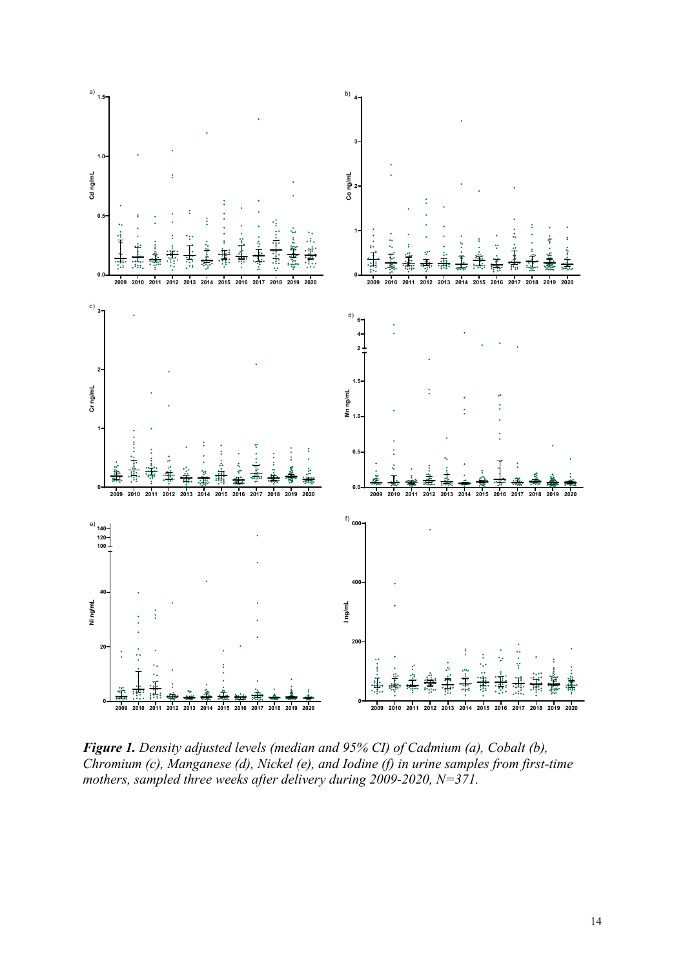

*Figure 1. Density adjusted levels (median and 95% CI) of Cadmium (a), Cobalt (b), Chromium (c), Manganese (d), Nickel (e), and Iodine (f) in urine samples from first-time mothers, sampled three weeks after delivery during 2009-2020, N=371.*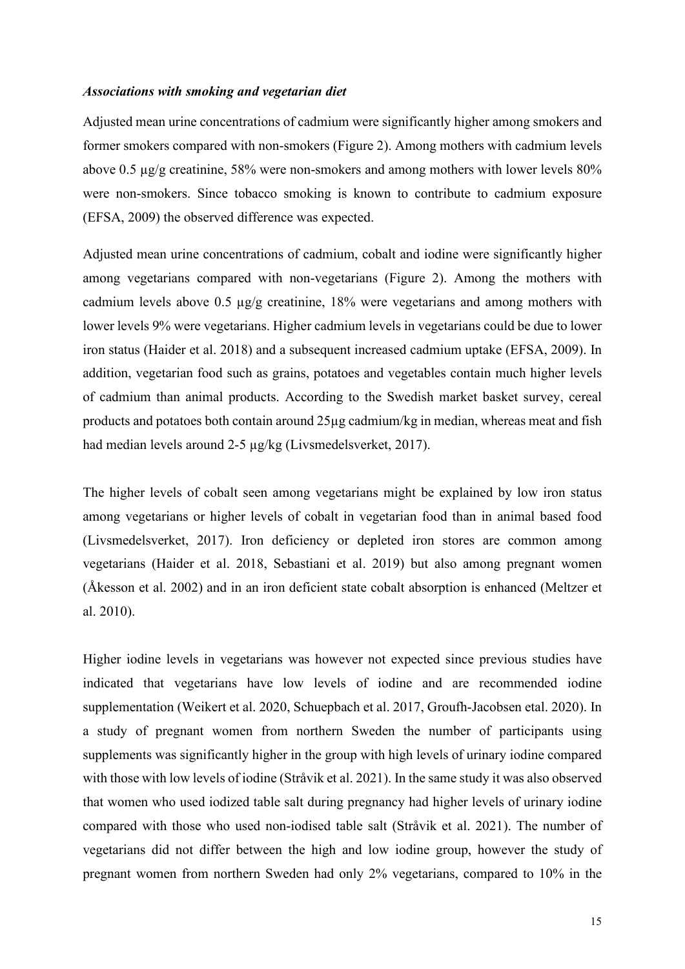#### *Associations with smoking and vegetarian diet*

Adjusted mean urine concentrations of cadmium were significantly higher among smokers and former smokers compared with non-smokers (Figure 2). Among mothers with cadmium levels above 0.5 µg/g creatinine, 58% were non-smokers and among mothers with lower levels 80% were non-smokers. Since tobacco smoking is known to contribute to cadmium exposure (EFSA, 2009) the observed difference was expected.

Adjusted mean urine concentrations of cadmium, cobalt and iodine were significantly higher among vegetarians compared with non-vegetarians (Figure 2). Among the mothers with cadmium levels above 0.5 µg/g creatinine, 18% were vegetarians and among mothers with lower levels 9% were vegetarians. Higher cadmium levels in vegetarians could be due to lower iron status (Haider et al. 2018) and a subsequent increased cadmium uptake (EFSA, 2009). In addition, vegetarian food such as grains, potatoes and vegetables contain much higher levels of cadmium than animal products. According to the Swedish market basket survey, cereal products and potatoes both contain around 25µg cadmium/kg in median, whereas meat and fish had median levels around 2-5 µg/kg (Livsmedelsverket, 2017).

The higher levels of cobalt seen among vegetarians might be explained by low iron status among vegetarians or higher levels of cobalt in vegetarian food than in animal based food (Livsmedelsverket, 2017). Iron deficiency or depleted iron stores are common among vegetarians (Haider et al. 2018, Sebastiani et al. 2019) but also among pregnant women (Åkesson et al. 2002) and in an iron deficient state cobalt absorption is enhanced (Meltzer et al. 2010).

Higher iodine levels in vegetarians was however not expected since previous studies have indicated that vegetarians have low levels of iodine and are recommended iodine supplementation (Weikert et al. 2020, Schuepbach et al. 2017, Groufh-Jacobsen etal. 2020). In a study of pregnant women from northern Sweden the number of participants using supplements was significantly higher in the group with high levels of urinary iodine compared with those with low levels of iodine (Stråvik et al. 2021). In the same study it was also observed that women who used iodized table salt during pregnancy had higher levels of urinary iodine compared with those who used non-iodised table salt (Stråvik et al. 2021). The number of vegetarians did not differ between the high and low iodine group, however the study of pregnant women from northern Sweden had only 2% vegetarians, compared to 10% in the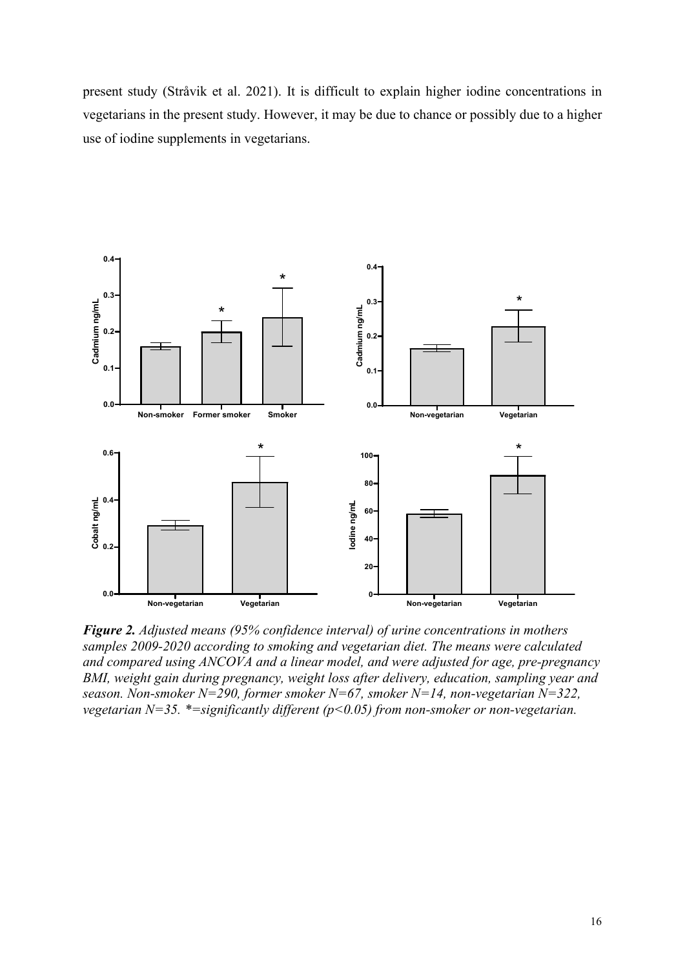present study (Stråvik et al. 2021). It is difficult to explain higher iodine concentrations in vegetarians in the present study. However, it may be due to chance or possibly due to a higher use of iodine supplements in vegetarians.



*Figure 2. Adjusted means (95% confidence interval) of urine concentrations in mothers samples 2009-2020 according to smoking and vegetarian diet. The means were calculated and compared using ANCOVA and a linear model, and were adjusted for age, pre-pregnancy BMI, weight gain during pregnancy, weight loss after delivery, education, sampling year and season. Non-smoker N=290, former smoker N=67, smoker N=14, non-vegetarian N=322, vegetarian N=35. \*=significantly different (p<0.05) from non-smoker or non-vegetarian.*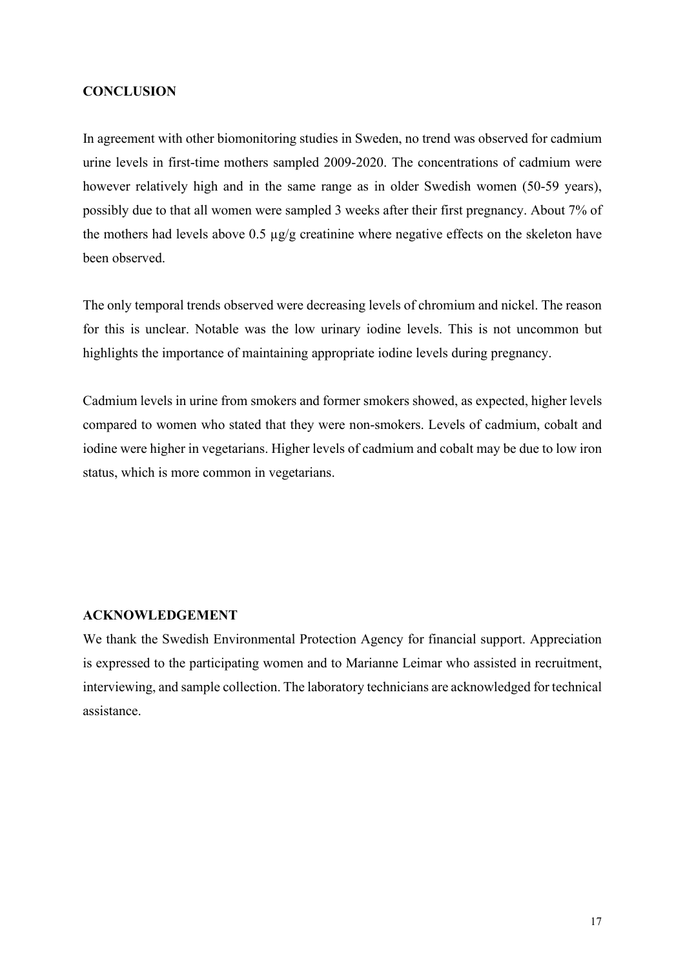#### <span id="page-16-0"></span>**CONCLUSION**

In agreement with other biomonitoring studies in Sweden, no trend was observed for cadmium urine levels in first-time mothers sampled 2009-2020. The concentrations of cadmium were however relatively high and in the same range as in older Swedish women (50-59 years), possibly due to that all women were sampled 3 weeks after their first pregnancy. About 7% of the mothers had levels above  $0.5 \mu g/g$  creatinine where negative effects on the skeleton have been observed.

The only temporal trends observed were decreasing levels of chromium and nickel. The reason for this is unclear. Notable was the low urinary iodine levels. This is not uncommon but highlights the importance of maintaining appropriate iodine levels during pregnancy.

Cadmium levels in urine from smokers and former smokers showed, as expected, higher levels compared to women who stated that they were non-smokers. Levels of cadmium, cobalt and iodine were higher in vegetarians. Higher levels of cadmium and cobalt may be due to low iron status, which is more common in vegetarians.

#### <span id="page-16-1"></span>**ACKNOWLEDGEMENT**

We thank the Swedish Environmental Protection Agency for financial support. Appreciation is expressed to the participating women and to Marianne Leimar who assisted in recruitment, interviewing, and sample collection. The laboratory technicians are acknowledged for technical assistance.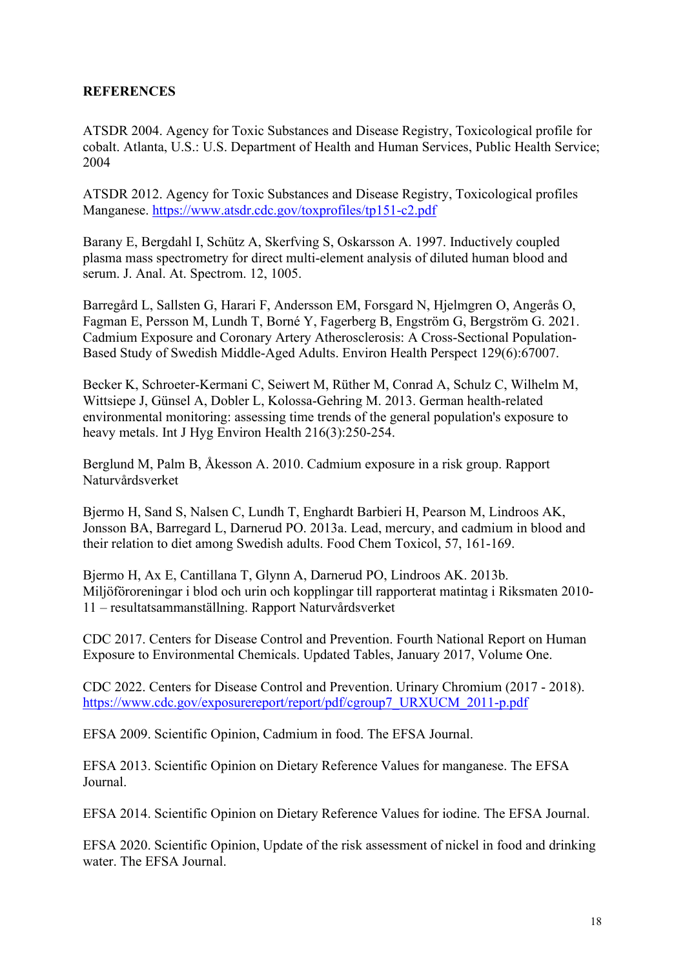### <span id="page-17-0"></span>**REFERENCES**

ATSDR 2004. Agency for Toxic Substances and Disease Registry, Toxicological profile for cobalt. Atlanta, U.S.: U.S. Department of Health and Human Services, Public Health Service; 2004

ATSDR 2012. Agency for Toxic Substances and Disease Registry, Toxicological profiles Manganese. [https://www.atsdr.cdc.gov/toxprofiles/tp151](https://www.atsdr.cdc.gov/toxprofiles/tp151-c2.pdf)-c2.pdf

Barany E, Bergdahl I, Schütz A, Skerfving S, Oskarsson A. 1997. Inductively coupled plasma mass spectrometry for direct multi-element analysis of diluted human blood and serum. J. Anal. At. Spectrom. 12, 1005.

Barregård L, Sallsten G, Harari F, Andersson EM, Forsgard N, Hjelmgren O, Angerås O, Fagman E, Persson M, Lundh T, Borné Y, Fagerberg B, Engström G, Bergström G. 2021. Cadmium Exposure and Coronary Artery Atherosclerosis: A Cross-Sectional Population-Based Study of Swedish Middle-Aged Adults. Environ Health Perspect 129(6):67007.

Becker K, Schroeter-Kermani C, Seiwert M, Rüther M, Conrad A, Schulz C, Wilhelm M, Wittsiepe J, Günsel A, Dobler L, Kolossa-Gehring M. 2013. German health-related environmental monitoring: assessing time trends of the general population's exposure to heavy metals. Int J Hyg Environ Health 216(3):250-254.

Berglund M, Palm B, Åkesson A. 2010. Cadmium exposure in a risk group. Rapport Naturvårdsverket

Bjermo H, Sand S, Nalsen C, Lundh T, Enghardt Barbieri H, Pearson M, Lindroos AK, Jonsson BA, Barregard L, Darnerud PO. 2013a. Lead, mercury, and cadmium in blood and their relation to diet among Swedish adults. Food Chem Toxicol, 57, 161-169.

Bjermo H, Ax E, Cantillana T, Glynn A, Darnerud PO, Lindroos AK. 2013b. Miljöföroreningar i blod och urin och kopplingar till rapporterat matintag i Riksmaten 2010- 11 – resultatsammanställning. Rapport Naturvårdsverket

CDC 2017. Centers for Disease Control and Prevention. Fourth National Report on Human Exposure to Environmental Chemicals. Updated Tables, January 2017, Volume One.

CDC 2022. Centers for Disease Control and Prevention. Urinary Chromium (2017 - 2018). [https://www.cdc.gov/exposurereport/report/pdf/cgroup7\\_URXUCM\\_2011](https://www.cdc.gov/exposurereport/report/pdf/cgroup7_URXUCM_2011-p.pdf)-p.pdf

EFSA 2009. Scientific Opinion, Cadmium in food. The EFSA Journal.

EFSA 2013. Scientific Opinion on Dietary Reference Values for manganese. The EFSA Journal.

EFSA 2014. Scientific Opinion on Dietary Reference Values for iodine. The EFSA Journal.

EFSA 2020. Scientific Opinion, Update of the risk assessment of nickel in food and drinking water. The EFSA Journal.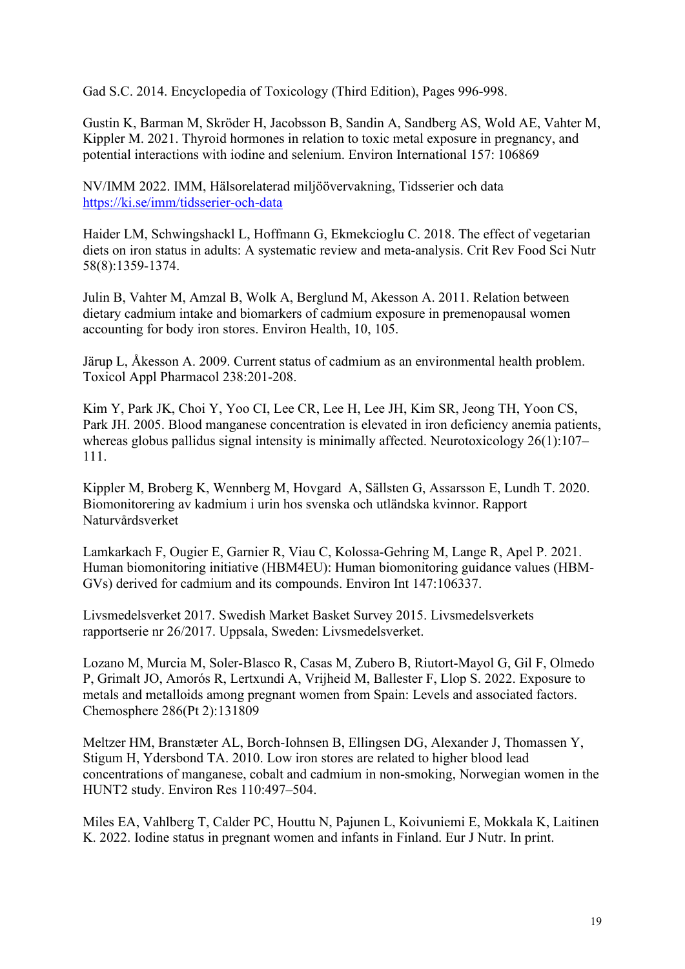Gad S.C. 2014. Encyclopedia of Toxicology (Third Edition), Pages 996-998.

Gustin K, Barman M, Skröder H, Jacobsson B, Sandin A, Sandberg AS, Wold AE, Vahter M, Kippler M. 2021. Thyroid hormones in relation to toxic metal exposure in pregnancy, and potential interactions with iodine and selenium. Environ International 157: 106869

NV/IMM 2022. IMM, Hälsorelaterad miljöövervakning, Tidsserier och data [https://ki.se/imm/tidsserier](https://ki.se/imm/tidsserier-och-data)-och-data

Haider LM, Schwingshackl L, Hoffmann G, Ekmekcioglu C. 2018. The effect of vegetarian diets on iron status in adults: A systematic review and meta-analysis. Crit Rev Food Sci Nutr 58(8):1359-1374.

Julin B, Vahter M, Amzal B, Wolk A, Berglund M, Akesson A. 2011. Relation between dietary cadmium intake and biomarkers of cadmium exposure in premenopausal women accounting for body iron stores. Environ Health, 10, 105.

Järup L, Åkesson A. 2009. Current status of cadmium as an environmental health problem. Toxicol Appl Pharmacol 238:201-208.

Kim Y, Park JK, Choi Y, Yoo CI, Lee CR, Lee H, Lee JH, Kim SR, Jeong TH, Yoon CS, Park JH. 2005. Blood manganese concentration is elevated in iron deficiency anemia patients, whereas globus pallidus signal intensity is minimally affected. Neurotoxicology 26(1):107– 111.

Kippler M, Broberg K, Wennberg M, Hovgard A, Sällsten G, Assarsson E, Lundh T. 2020. Biomonitorering av kadmium i urin hos svenska och utländska kvinnor. Rapport Naturvårdsverket

Lamkarkach F, Ougier E, Garnier R, Viau C, Kolossa-Gehring M, Lange R, Apel P. 2021. Human biomonitoring initiative (HBM4EU): Human biomonitoring guidance values (HBM-GVs) derived for cadmium and its compounds. Environ Int 147:106337.

Livsmedelsverket 2017. Swedish Market Basket Survey 2015. Livsmedelsverkets rapportserie nr 26/2017. Uppsala, Sweden: Livsmedelsverket.

Lozano M, Murcia M, Soler-Blasco R, Casas M, Zubero B, Riutort-Mayol G, Gil F, Olmedo P, Grimalt JO, Amorós R, Lertxundi A, Vrijheid M, Ballester F, Llop S. 2022. Exposure to metals and metalloids among pregnant women from Spain: Levels and associated factors. Chemosphere 286(Pt 2):131809

Meltzer HM, Branstæter AL, Borch-Iohnsen B, Ellingsen DG, Alexander J, Thomassen Y, Stigum H, Ydersbond TA. 2010. Low iron stores are related to higher blood lead concentrations of manganese, cobalt and cadmium in non-smoking, Norwegian women in the HUNT2 study. Environ Res 110:497–504.

Miles EA, Vahlberg T, Calder PC, Houttu N, Pajunen L, Koivuniemi E, Mokkala K, Laitinen K. 2022. Iodine status in pregnant women and infants in Finland. Eur J Nutr. In print.